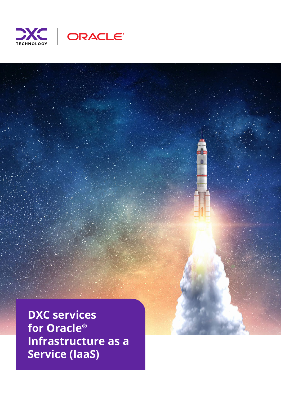



**DXC services for Oracle® Infrastructure as a Service (IaaS)**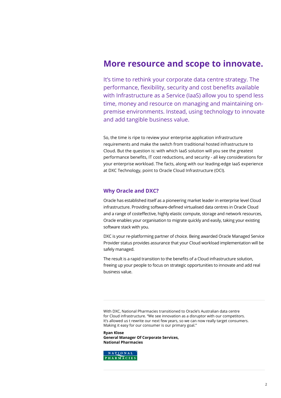## **More resource and scope to innovate.**

It's time to rethink your corporate data centre strategy. The performance, flexibility, security and cost benefits available with Infrastructure as a Service (IaaS) allow you to spend less time, money and resource on managing and maintaining onpremise environments. Instead, using technology to innovate and add tangible business value.

So, the time is ripe to review your enterprise application infrastructure requirements and make the switch from traditional hosted infrastructure to Cloud. But the question is: with which IaaS solution will you see the greatest performance benefits, IT cost reductions, and security - all key considerations for your enterprise workload. The facts, along with our leading-edge IaaS experience at DXC Technology, point to Oracle Cloud Infrastructure (OCI).

## **Why Oracle and DXC?**

Oracle has established itself as a pioneering market leader in enterprise level Cloud infrastructure. Providing software-defined virtualised data centres in Oracle Cloud and a range of costeffective, highly elastic compute, storage and network resources, Oracle enables your organisation to migrate quickly and easily, taking your existing software stack with you.

DXC is your re-platforming partner of choice. Being awarded Oracle Managed Service Provider status provides assurance that your Cloud workload implementation will be safely managed.

The result is a rapid transition to the benefits of a Cloud infrastructure solution, freeing up your people to focus on strategic opportunities to innovate and add real business value.

With DXC, National Pharmacies transitioned to Oracle's Australian data centre for Cloud infrastructure. "We see innovation as a disruptor with our competitors. It's allowed us t rewrite our next few years, so we can now really target consumers. Making it easy for our consumer is our primary goal."

**Ryan Klose General Manager Of Corporate Services, National Pharmacies**

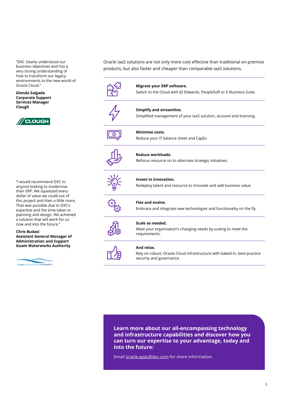"DXC clearly understood our business objectives and has a very strong understanding of how to transform our legacy environments to the new world of Oracle Cloud."

**Glenda Salgado Corporate Support Services Manager Clough**



"I would recommend DXC to anyone looking to modernise their ERP. We squeezed every dollar of value we could out of this project and then a little more. That was possible due to DXC's expertise and the time taken in planning and design. We achieved a solution that will work for us now and into the future."

**Chris Budasi Assistant General Manager of Administration and Support Guam Waterworks Authority**



Oracle IaaS solutions are not only more cost effective than traditional on-premise products, but also faster and cheaper than comparable IaaS solutions.



**Learn more about our all-encompassing technology and infrastructure capabilities and discover how you can turn our expertise to your advantage, today and into the future:**

Email oracle.apac@dxc.com for more information.